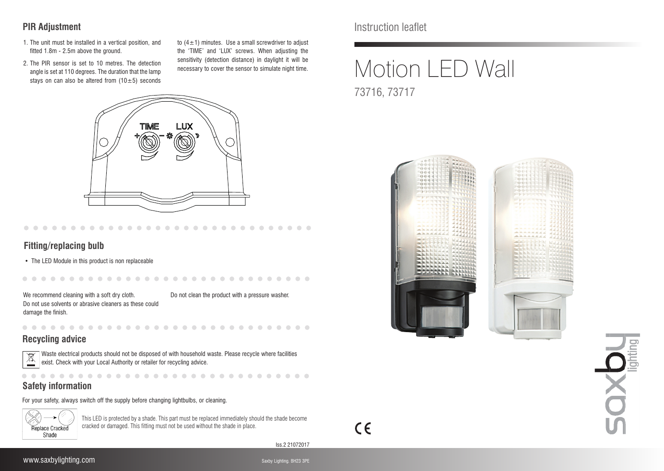## **PIR Adjustment**

- 1. The unit must be installed in a vertical position, and fitted 1.8m - 2.5m above the ground.
- 2. The PIR sensor is set to 10 metres. The detection angle is set at 110 degrees. The duration that the lamp stays on can also be altered from  $(10\pm5)$  seconds

to  $(4\pm1)$  minutes. Use a small screwdriver to adjust the 'TIME' and 'LUX' screws. When adjusting the sensitivity (detection distance) in daylight it will be necessary to cover the sensor to simulate night time.



#### **Fitting/replacing bulb**

• The LED Module in this product is non replaceable

. . . .

We recommend cleaning with a soft dry cloth. Do not use solvents or abrasive cleaners as these could damage the finish.

Do not clean the product with a pressure washer.

. . . . . . . . . . . . . . .

. . . . . . . . .

### **Recycling advice**



Waste electrical products should not be disposed of with household waste. Please recycle where facilities exist. Check with your Local Authority or retailer for recycling advice.

 $\sim$  $\sim$ 

 $\sim$  $\sim$  $\sim$ 

# **Safety information**

For your safety, always switch off the supply before changing lightbulbs, or cleaning.



This LED is protected by a shade. This part must be replaced immediately should the shade become cracked or damaged. This fitting must not be used without the shade in place.

. . . . .

Iss.2 21072017

 $C \in$ 

 $-0.0000$ 

**COLLEGE** 

# Motion LED Wall 73716, 73717